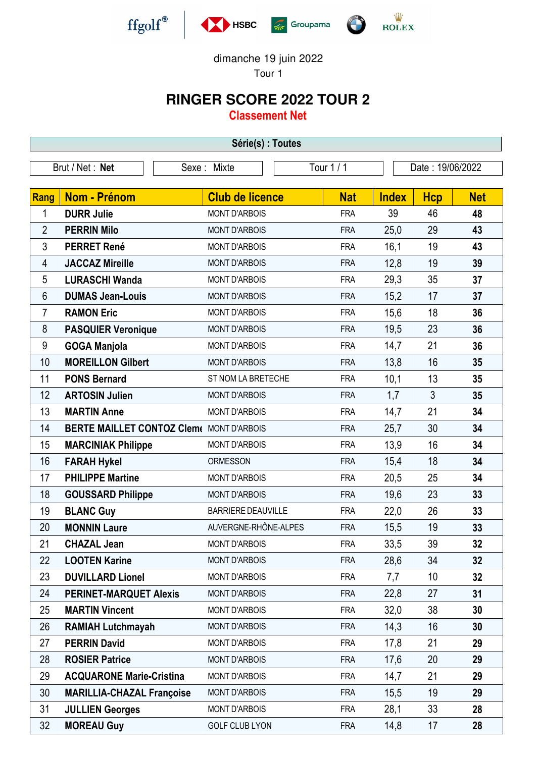





dimanche 19 juin 2022

Tour 1

## **RINGER SCORE 2022 TOUR 2**

**Classement Net**

| Série(s) : Toutes |                                                 |             |                           |  |                  |              |            |            |  |  |
|-------------------|-------------------------------------------------|-------------|---------------------------|--|------------------|--------------|------------|------------|--|--|
| Brut / Net : Net  |                                                 | Sexe: Mixte | Tour 1 / 1                |  | Date: 19/06/2022 |              |            |            |  |  |
|                   |                                                 |             |                           |  |                  |              |            |            |  |  |
| <b>Rang</b>       | <b>Nom - Prénom</b>                             |             | <b>Club de licence</b>    |  | <b>Nat</b>       | <b>Index</b> | <b>Hcp</b> | <b>Net</b> |  |  |
| 1                 | <b>DURR Julie</b>                               |             | <b>MONT D'ARBOIS</b>      |  | <b>FRA</b>       | 39           | 46         | 48         |  |  |
| $\overline{2}$    | <b>PERRIN Milo</b>                              |             | <b>MONT D'ARBOIS</b>      |  | <b>FRA</b>       | 25,0         | 29         | 43         |  |  |
| 3                 | <b>PERRET René</b>                              |             | <b>MONT D'ARBOIS</b>      |  | <b>FRA</b>       | 16,1         | 19         | 43         |  |  |
| 4                 | <b>JACCAZ Mireille</b>                          |             | <b>MONT D'ARBOIS</b>      |  | <b>FRA</b>       | 12,8         | 19         | 39         |  |  |
| 5                 | <b>LURASCHI Wanda</b>                           |             | <b>MONT D'ARBOIS</b>      |  | <b>FRA</b>       | 29,3         | 35         | 37         |  |  |
| 6                 | <b>DUMAS Jean-Louis</b>                         |             | <b>MONT D'ARBOIS</b>      |  | <b>FRA</b>       | 15,2         | 17         | 37         |  |  |
| 7                 | <b>RAMON Eric</b>                               |             | <b>MONT D'ARBOIS</b>      |  | <b>FRA</b>       | 15,6         | 18         | 36         |  |  |
| 8                 | <b>PASQUIER Veronique</b>                       |             | <b>MONT D'ARBOIS</b>      |  | <b>FRA</b>       | 19,5         | 23         | 36         |  |  |
| 9                 | <b>GOGA Manjola</b>                             |             | <b>MONT D'ARBOIS</b>      |  | <b>FRA</b>       | 14,7         | 21         | 36         |  |  |
| 10                | <b>MOREILLON Gilbert</b>                        |             | <b>MONT D'ARBOIS</b>      |  | <b>FRA</b>       | 13,8         | 16         | 35         |  |  |
| 11                | <b>PONS Bernard</b>                             |             | ST NOM LA BRETECHE        |  | <b>FRA</b>       | 10,1         | 13         | 35         |  |  |
| 12                | <b>ARTOSIN Julien</b>                           |             | <b>MONT D'ARBOIS</b>      |  | <b>FRA</b>       | 1,7          | 3          | 35         |  |  |
| 13                | <b>MARTIN Anne</b>                              |             | <b>MONT D'ARBOIS</b>      |  | <b>FRA</b>       | 14,7         | 21         | 34         |  |  |
| 14                | <b>BERTE MAILLET CONTOZ Clem( MONT D'ARBOIS</b> |             |                           |  | <b>FRA</b>       | 25,7         | 30         | 34         |  |  |
| 15                | <b>MARCINIAK Philippe</b>                       |             | <b>MONT D'ARBOIS</b>      |  | <b>FRA</b>       | 13,9         | 16         | 34         |  |  |
| 16                | <b>FARAH Hykel</b>                              |             | <b>ORMESSON</b>           |  | <b>FRA</b>       | 15,4         | 18         | 34         |  |  |
| 17                | <b>PHILIPPE Martine</b>                         |             | <b>MONT D'ARBOIS</b>      |  | <b>FRA</b>       | 20,5         | 25         | 34         |  |  |
| 18                | <b>GOUSSARD Philippe</b>                        |             | <b>MONT D'ARBOIS</b>      |  | <b>FRA</b>       | 19,6         | 23         | 33         |  |  |
| 19                | <b>BLANC Guy</b>                                |             | <b>BARRIERE DEAUVILLE</b> |  | <b>FRA</b>       | 22,0         | 26         | 33         |  |  |
| 20                | <b>MONNIN Laure</b>                             |             | AUVERGNE-RHÔNE-ALPES      |  | <b>FRA</b>       | 15,5         | 19         | 33         |  |  |
| 21                | <b>CHAZAL Jean</b>                              |             | <b>MONT D'ARBOIS</b>      |  | <b>FRA</b>       | 33,5         | 39         | 32         |  |  |
| 22                | <b>LOOTEN Karine</b>                            |             | <b>MONT D'ARBOIS</b>      |  | <b>FRA</b>       | 28,6         | 34         | 32         |  |  |
| 23                | <b>DUVILLARD Lionel</b>                         |             | <b>MONT D'ARBOIS</b>      |  | <b>FRA</b>       | 7,7          | 10         | 32         |  |  |
| 24                | <b>PERINET-MARQUET Alexis</b>                   |             | <b>MONT D'ARBOIS</b>      |  | <b>FRA</b>       | 22,8         | 27         | 31         |  |  |
| 25                | <b>MARTIN Vincent</b>                           |             | <b>MONT D'ARBOIS</b>      |  | <b>FRA</b>       | 32,0         | 38         | 30         |  |  |
| 26                | <b>RAMIAH Lutchmayah</b>                        |             | <b>MONT D'ARBOIS</b>      |  | <b>FRA</b>       | 14,3         | 16         | 30         |  |  |
| 27                | <b>PERRIN David</b>                             |             | <b>MONT D'ARBOIS</b>      |  | <b>FRA</b>       | 17,8         | 21         | 29         |  |  |
| 28                | <b>ROSIER Patrice</b>                           |             | <b>MONT D'ARBOIS</b>      |  | <b>FRA</b>       | 17,6         | 20         | 29         |  |  |
| 29                | <b>ACQUARONE Marie-Cristina</b>                 |             | <b>MONT D'ARBOIS</b>      |  | <b>FRA</b>       | 14,7         | 21         | 29         |  |  |
| 30                | <b>MARILLIA-CHAZAL Françoise</b>                |             | <b>MONT D'ARBOIS</b>      |  | <b>FRA</b>       | 15,5         | 19         | 29         |  |  |
| 31                | <b>JULLIEN Georges</b>                          |             | <b>MONT D'ARBOIS</b>      |  | <b>FRA</b>       | 28,1         | 33         | 28         |  |  |
| 32                | <b>MOREAU Guy</b>                               |             | <b>GOLF CLUB LYON</b>     |  | <b>FRA</b>       | 14,8         | 17         | 28         |  |  |